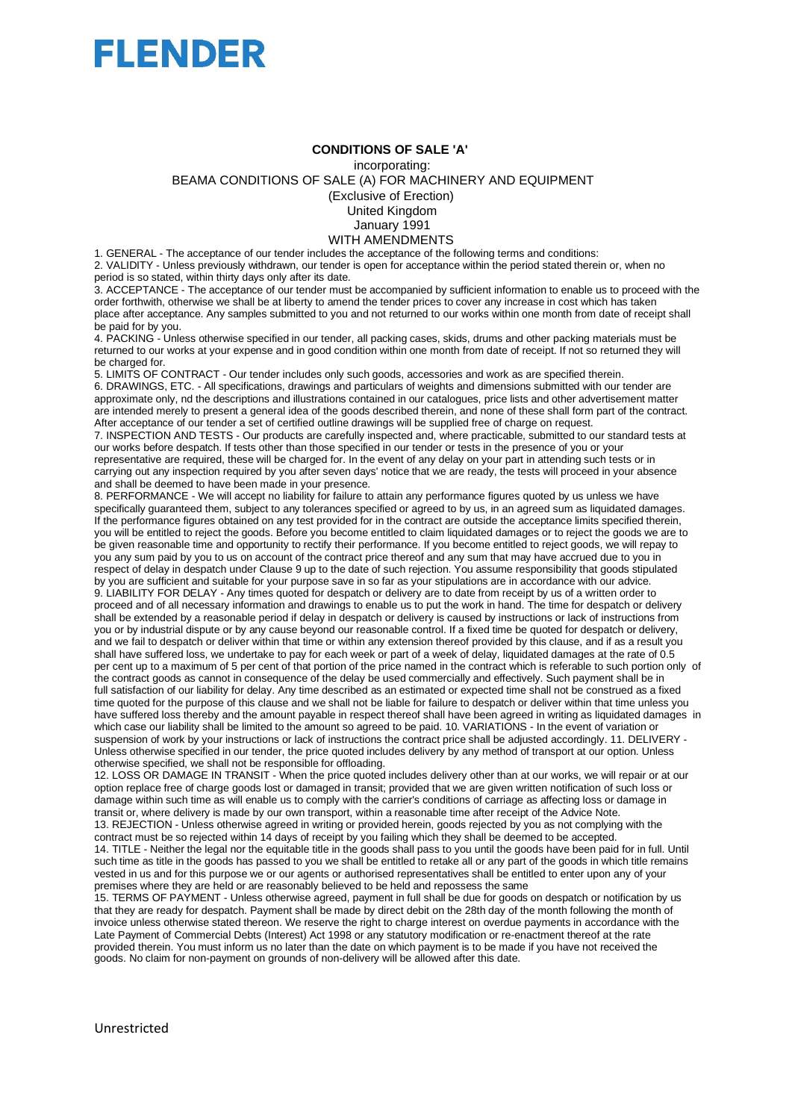

## **CONDITIONS OF SALE 'A'**

incorporating:

BEAMA CONDITIONS OF SALE (A) FOR MACHINERY AND EQUIPMENT

(Exclusive of Erection)

United Kingdom

January 1991

WITH AMENDMENTS 1. GENERAL - The acceptance of our tender includes the acceptance of the following terms and conditions:

2. VALIDITY - Unless previously withdrawn, our tender is open for acceptance within the period stated therein or, when no period is so stated, within thirty days only after its date.

3. ACCEPTANCE - The acceptance of our tender must be accompanied by sufficient information to enable us to proceed with the order forthwith, otherwise we shall be at liberty to amend the tender prices to cover any increase in cost which has taken place after acceptance. Any samples submitted to you and not returned to our works within one month from date of receipt shall be paid for by you.

4. PACKING - Unless otherwise specified in our tender, all packing cases, skids, drums and other packing materials must be returned to our works at your expense and in good condition within one month from date of receipt. If not so returned they will be charged for.

5. LIMITS OF CONTRACT - Our tender includes only such goods, accessories and work as are specified therein. 6. DRAWINGS, ETC. - All specifications, drawings and particulars of weights and dimensions submitted with our tender are approximate only, nd the descriptions and illustrations contained in our catalogues, price lists and other advertisement matter are intended merely to present a general idea of the goods described therein, and none of these shall form part of the contract. After acceptance of our tender a set of certified outline drawings will be supplied free of charge on request.

7. INSPECTION AND TESTS - Our products are carefully inspected and, where practicable, submitted to our standard tests at our works before despatch. If tests other than those specified in our tender or tests in the presence of you or your representative are required, these will be charged for. In the event of any delay on your part in attending such tests or in carrying out any inspection required by you after seven days' notice that we are ready, the tests will proceed in your absence and shall be deemed to have been made in your presence.

8. PERFORMANCE - We will accept no liability for failure to attain any performance figures quoted by us unless we have specifically guaranteed them, subject to any tolerances specified or agreed to by us, in an agreed sum as liquidated damages. If the performance figures obtained on any test provided for in the contract are outside the acceptance limits specified therein, you will be entitled to reject the goods. Before you become entitled to claim liquidated damages or to reject the goods we are to be given reasonable time and opportunity to rectify their performance. If you become entitled to reject goods, we will repay to you any sum paid by you to us on account of the contract price thereof and any sum that may have accrued due to you in respect of delay in despatch under Clause 9 up to the date of such rejection. You assume responsibility that goods stipulated by you are sufficient and suitable for your purpose save in so far as your stipulations are in accordance with our advice. 9. LIABILITY FOR DELAY - Any times quoted for despatch or delivery are to date from receipt by us of a written order to proceed and of all necessary information and drawings to enable us to put the work in hand. The time for despatch or delivery shall be extended by a reasonable period if delay in despatch or delivery is caused by instructions or lack of instructions from you or by industrial dispute or by any cause beyond our reasonable control. If a fixed time be quoted for despatch or delivery, and we fail to despatch or deliver within that time or within any extension thereof provided by this clause, and if as a result you shall have suffered loss, we undertake to pay for each week or part of a week of delay, liquidated damages at the rate of 0.5 per cent up to a maximum of 5 per cent of that portion of the price named in the contract which is referable to such portion only of the contract goods as cannot in consequence of the delay be used commercially and effectively. Such payment shall be in full satisfaction of our liability for delay. Any time described as an estimated or expected time shall not be construed as a fixed time quoted for the purpose of this clause and we shall not be liable for failure to despatch or deliver within that time unless you have suffered loss thereby and the amount payable in respect thereof shall have been agreed in writing as liquidated damages in which case our liability shall be limited to the amount so agreed to be paid. 10. VARIATIONS - In the event of variation or suspension of work by your instructions or lack of instructions the contract price shall be adjusted accordingly. 11. DELIVERY -Unless otherwise specified in our tender, the price quoted includes delivery by any method of transport at our option. Unless otherwise specified, we shall not be responsible for offloading.

12. LOSS OR DAMAGE IN TRANSIT - When the price quoted includes delivery other than at our works, we will repair or at our option replace free of charge goods lost or damaged in transit; provided that we are given written notification of such loss or damage within such time as will enable us to comply with the carrier's conditions of carriage as affecting loss or damage in transit or, where delivery is made by our own transport, within a reasonable time after receipt of the Advice Note. 13. REJECTION - Unless otherwise agreed in writing or provided herein, goods rejected by you as not complying with the contract must be so rejected within 14 days of receipt by you failing which they shall be deemed to be accepted. 14. TITLE - Neither the legal nor the equitable title in the goods shall pass to you until the goods have been paid for in full. Until such time as title in the goods has passed to you we shall be entitled to retake all or any part of the goods in which title remains vested in us and for this purpose we or our agents or authorised representatives shall be entitled to enter upon any of your premises where they are held or are reasonably believed to be held and repossess the same

15. TERMS OF PAYMENT - Unless otherwise agreed, payment in full shall be due for goods on despatch or notification by us that they are ready for despatch. Payment shall be made by direct debit on the 28th day of the month following the month of invoice unless otherwise stated thereon. We reserve the right to charge interest on overdue payments in accordance with the Late Payment of Commercial Debts (Interest) Act 1998 or any statutory modification or re-enactment thereof at the rate provided therein. You must inform us no later than the date on which payment is to be made if you have not received the goods. No claim for non-payment on grounds of non-delivery will be allowed after this date.